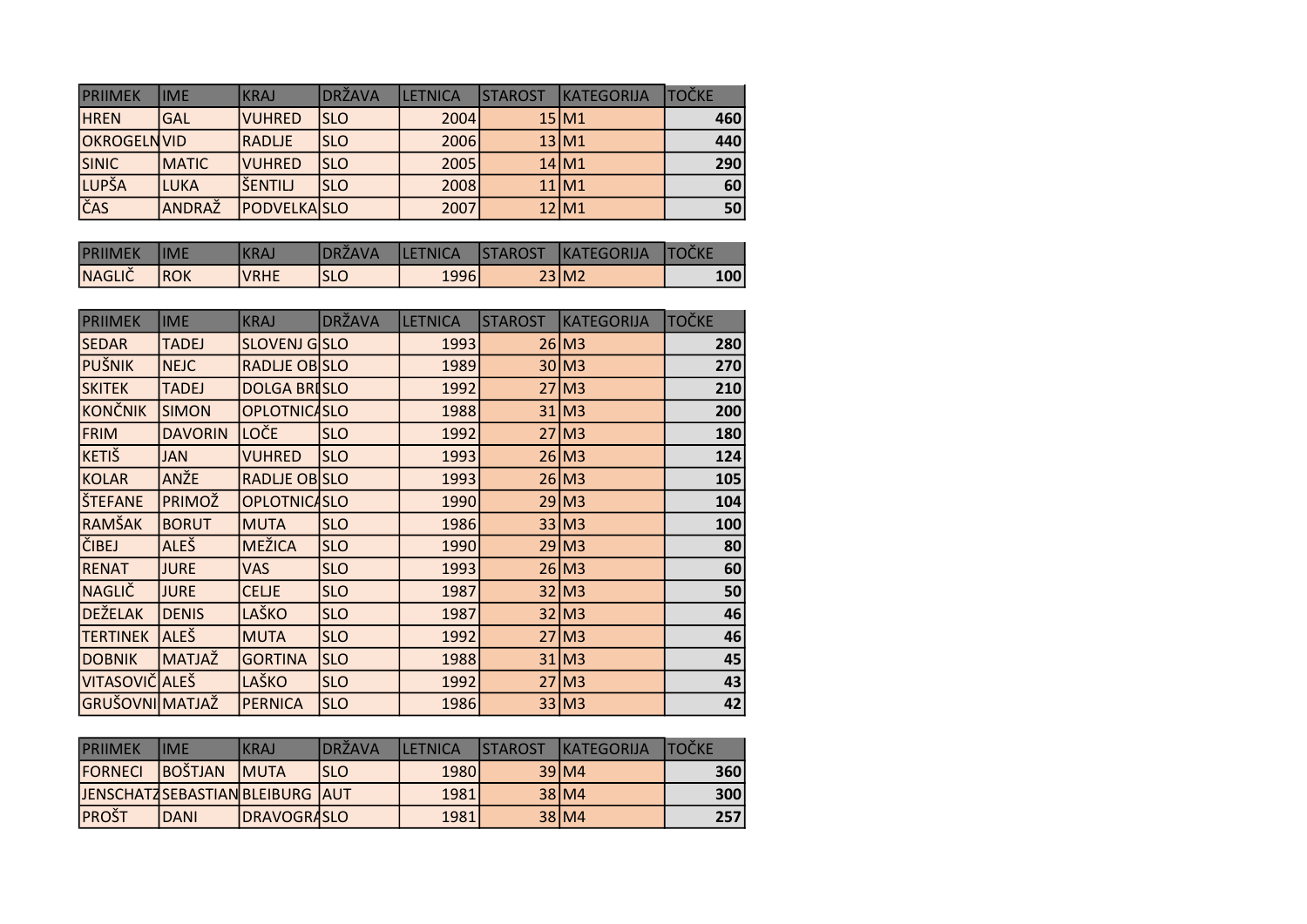| <b>IPRIIMEK</b>    | <b>IIME</b>  | IKRAJ              | DRŽAVA     | <b>LETNICA</b> | <b>STAROST</b> | <b>IKATEGORIJA</b> | <b>TOČKE</b> |
|--------------------|--------------|--------------------|------------|----------------|----------------|--------------------|--------------|
| <b>HREN</b>        | <b>GAL</b>   | <b>VUHRED</b>      | ISLO       | 2004           |                | 15 M 1             | 460          |
| <b>OKROGELNVID</b> |              | <b>RADLJE</b>      | <b>SLO</b> | 2006           |                | 13 M1              | 440          |
| <b>SINIC</b>       | <b>MATIC</b> | <b>VUHRED</b>      | <b>SLO</b> | 2005           |                | 14 M1              | 290          |
| <b>LUPŠA</b>       | LUKA         | lšentilj           | <b>SLO</b> | 2008           |                | 11 M 1             | 60           |
| ČAS                | ANDRAŽ       | <b>PODVELKASLO</b> |            | 2007           |                | 12 M1              | 50           |

| <b>PRIIMEK</b> | <b>IIME</b> | <b>KRAJ</b> | <b>IDRŽAVA</b> | <b>ILETNICA</b> | STAROST KATEGORIJA | <b>ITOČKE</b> |
|----------------|-------------|-------------|----------------|-----------------|--------------------|---------------|
| <b>NAGLIČ</b>  | <b>IROK</b> | VRHE        | <b>ISLC</b>    | 1996            | 23 M2              | 100           |

| <b>PRIIMEK</b>  | <b>IME</b>     | <b>KRAJ</b>         | <b>DRŽAVA</b> | <b>LETNICA</b> | <b>STAROST</b> | <b>KATEGORIJA</b>   | <b>TOČKE</b> |
|-----------------|----------------|---------------------|---------------|----------------|----------------|---------------------|--------------|
| <b>SEDAR</b>    | <b>TADEJ</b>   | <b>SLOVENJ GSLO</b> |               | 1993           |                | $26$ M <sub>3</sub> | 280          |
| PUŠNIK          | <b>NEJC</b>    | RADLJE OB SLO       |               | 1989           |                | $30$ M <sub>3</sub> | 270          |
| <b>SKITEK</b>   | <b>TADEJ</b>   | <b>DOLGA BRISLO</b> |               | 1992           |                | $27$ M <sub>3</sub> | 210          |
| KONČNIK         | <b>SIMON</b>   | <b>OPLOTNICASLO</b> |               | 1988           |                | $31$ M <sub>3</sub> | 200          |
| FRIM            | <b>DAVORIN</b> | LOČE                | <b>SLO</b>    | 1992           |                | $27$ M <sub>3</sub> | 180          |
| KETIŠ           | <b>JAN</b>     | <b>VUHRED</b>       | <b>SLO</b>    | 1993           |                | $26$ M <sub>3</sub> | 124          |
| KOLAR           | <b>ANŽE</b>    | RADLJE OB SLO       |               | 1993           |                | $26$ M <sub>3</sub> | 105          |
| ŠTEFANE         | <b>PRIMOŽ</b>  | <b>OPLOTNICASLO</b> |               | 1990           |                | $29$ M <sub>3</sub> | 104          |
| RAMŠAK          | <b>BORUT</b>   | <b>MUTA</b>         | <b>SLO</b>    | 1986           |                | 33 M3               | 100          |
| ČIBEJ           | <b>ALEŠ</b>    | <b>MEŽICA</b>       | <b>SLO</b>    | 1990           |                | $29$ M <sub>3</sub> | 80           |
| <b>RENAT</b>    | <b>JURE</b>    | VAS                 | <b>SLO</b>    | 1993           |                | $26$ M <sub>3</sub> | 60           |
| NAGLIČ          | <b>JURE</b>    | <b>CELJE</b>        | <b>SLO</b>    | 1987           |                | $32$ M <sub>3</sub> | 50           |
| <b>DEŽELAK</b>  | <b>DENIS</b>   | LAŠKO               | <b>SLO</b>    | 1987           |                | $32$ M <sub>3</sub> | 46           |
| <b>TERTINEK</b> | <b>ALEŠ</b>    | <b>MUTA</b>         | <b>SLO</b>    | 1992           |                | $27$ M <sub>3</sub> | 46           |
| <b>DOBNIK</b>   | <b>MATJAŽ</b>  | <b>GORTINA</b>      | <b>SLO</b>    | 1988           |                | $31$ M <sub>3</sub> | 45           |
| VITASOVIČ ALEŠ  |                | LAŠKO               | <b>SLO</b>    | 1992           |                | $27$ M <sub>3</sub> | 43           |
| GRUŠOVNI MATJAŽ |                | <b>PERNICA</b>      | <b>SLO</b>    | 1986           |                | $33$ M <sub>3</sub> | 42           |

| <b>PRIIMEK</b>                    | lime         | KRAJ                | <b>IDRŽAVA</b> | <b>II FTNICA</b> | <b>ISTAROST</b> | <b>IKATEGORIJA</b> | <b>TOČKF</b> |
|-----------------------------------|--------------|---------------------|----------------|------------------|-----------------|--------------------|--------------|
| <b>FORNECL</b>                    | BOŠTJAN      | <b>IMUTA</b>        | ISLO           | 1980l            |                 | 39 M4              | 360          |
| JENSCHATZSEBASTIAN BLEIBURG   AUT |              |                     |                | 1981             |                 | 38 M 4             | <b>300</b>   |
| <b>PROŠT</b>                      | <b>IDANI</b> | <b>IDRAVOGRASLO</b> |                | 1981             |                 | 38 M4              | 257          |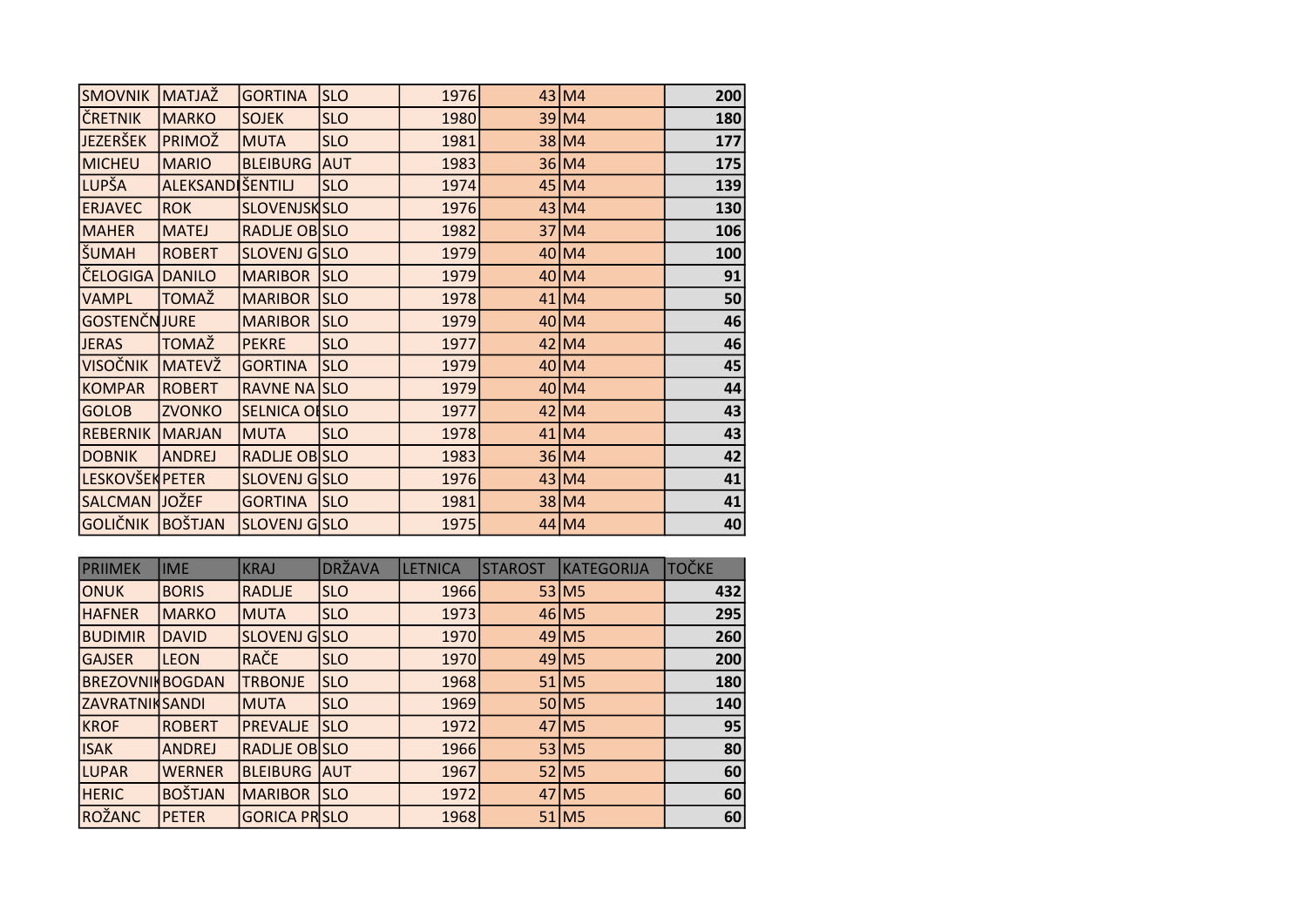| <b>SMOVNIK</b>         | <b>MATJAŽ</b>           | <b>GORTINA</b>       | <b>SLO</b> | 1976 | 43 M4   | 200 |
|------------------------|-------------------------|----------------------|------------|------|---------|-----|
| ČRETNIK                | <b>MARKO</b>            | <b>SOJEK</b>         | <b>SLO</b> | 1980 | $39$ M4 | 180 |
| <b>JEZERŠEK</b>        | <b>PRIMOŽ</b>           | <b>MUTA</b>          | <b>SLO</b> | 1981 | 38 M4   | 177 |
| MICHEU                 | <b>MARIO</b>            | <b>BLEIBURG AUT</b>  |            | 1983 | 36 M4   | 175 |
| LUPŠA                  | <b>ALEKSANDIŠENTILJ</b> |                      | <b>SLO</b> | 1974 | $45$ M4 | 139 |
| <b>ERJAVEC</b>         | <b>ROK</b>              | <b>SLOVENJSKSLO</b>  |            | 1976 | $43$ M4 | 130 |
| <b>MAHER</b>           | MATEJ                   | <b>RADLJE OB SLO</b> |            | 1982 | 37 M4   | 106 |
| SUMAH                  | <b>ROBERT</b>           | SLOVENJ GSLO         |            | 1979 | $40$ M4 | 100 |
| ČELOGIGA DANILO        |                         | MARIBOR SLO          |            | 1979 | $40$ M4 | 91  |
| <b>VAMPL</b>           | TOMAŽ                   | MARIBOR SLO          |            | 1978 | $41$ M4 | 50  |
| GOSTENČNJURE           |                         | <b>MARIBOR SLO</b>   |            | 1979 | $40$ M4 | 46  |
| <b>JERAS</b>           | <b>TOMAŽ</b>            | <b>PEKRE</b>         | <b>SLO</b> | 1977 | $42$ M4 | 46  |
| <b>VISOČNIK</b>        | <b>MATEVŽ</b>           | <b>GORTINA</b>       | <b>SLO</b> | 1979 | $40$ M4 | 45  |
| <b>KOMPAR</b>          | ROBERT                  | RAVNE NA SLO         |            | 1979 | $40$ M4 | 44  |
| <b>GOLOB</b>           | <b>ZVONKO</b>           | SELNICA OFSLO        |            | 1977 | $42$ M4 | 43  |
| REBERNIK               | MARJAN                  | <b>MUTA</b>          | <b>SLO</b> | 1978 | $41$ M4 | 43  |
| <b>DOBNIK</b>          | ANDREJ                  | RADLJE OBSLO         |            | 1983 | 36 M4   | 42  |
| <b>LESKOVŠEK PETER</b> |                         | SLOVENJ GSLO         |            | 1976 | $43$ M4 | 41  |
| SALCMAN JOŽEF          |                         | <b>GORTINA</b>       | <b>SLO</b> | 1981 | 38 M4   | 41  |
| GOLIČNIK BOŠTJAN       |                         | SLOVENJ GSLO         |            | 1975 | $44$ M4 | 40  |

| <b>PRIIMEK</b>         | <b>IME</b>     | <b>KRAJ</b>         | <b>DRŽAVA</b> | <b>LETNICA</b> | <b>STAROST</b> | KATEGORIJA          | <b>TOČKE</b> |
|------------------------|----------------|---------------------|---------------|----------------|----------------|---------------------|--------------|
| ONUK                   | <b>BORIS</b>   | <b>RADLJE</b>       | <b>SLO</b>    | 1966           |                | $53$ M <sub>5</sub> | 432          |
| <b>HAFNER</b>          | <b>MARKO</b>   | <b>MUTA</b>         | <b>SLO</b>    | 1973           |                | $46$ M <sub>5</sub> | 295          |
| <b>BUDIMIR</b>         | DAVID          | <b>SLOVENJ GSLO</b> |               | 1970           |                | $49$ M <sub>5</sub> | 260          |
| <b>GAJSER</b>          | <b>LEON</b>    | RAČE                | <b>SLO</b>    | 1970           |                | $49$ M <sub>5</sub> | 200          |
| <b>BREZOVNIKBOGDAN</b> |                | <b>TRBONJE</b>      | <b>SLO</b>    | 1968           |                | $51$ M <sub>5</sub> | 180          |
| <b>ZAVRATNIKSANDI</b>  |                | <b>MUTA</b>         | <b>SLO</b>    | 1969           |                | 50 M <sub>5</sub>   | 140          |
| <b>KROF</b>            | <b>ROBERT</b>  | <b>PREVALJE</b>     | <b>ISLO</b>   | 1972           |                | 47 M <sub>5</sub>   | 95           |
| <b>ISAK</b>            | <b>ANDREJ</b>  | <b>RADLIE OBSLO</b> |               | 1966           |                | $53$ M <sub>5</sub> | 80           |
| LUPAR                  | <b>WERNER</b>  | <b>BLEIBURG AUT</b> |               | 1967           |                | $52$ M <sub>5</sub> | 60           |
| <b>HERIC</b>           | <b>BOŠTJAN</b> | <b>MARIBOR</b>      | <b>ISLO</b>   | 1972           |                | 47 M <sub>5</sub>   | 60           |
| ROŽANC                 | PETER          | <b>GORICA PRSLO</b> |               | 1968           |                | $51$ M <sub>5</sub> | 60           |